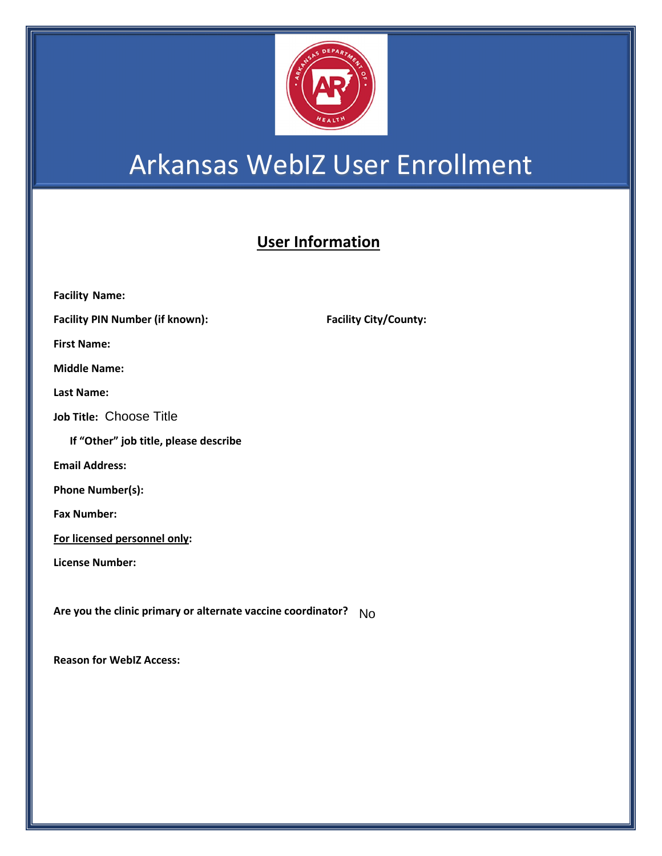

## Arkansas WebIZ User Enrollment

## **User Information**

| <b>Facility Name:</b>                                        |                     |
|--------------------------------------------------------------|---------------------|
| <b>Facility PIN Number (if known):</b>                       | <b>Facility Cit</b> |
| <b>First Name:</b>                                           |                     |
| <b>Middle Name:</b>                                          |                     |
| <b>Last Name:</b>                                            |                     |
| Job Title: Choose Title                                      |                     |
| If "Other" job title, please describe                        |                     |
| <b>Email Address:</b>                                        |                     |
| Phone Number(s):                                             |                     |
| <b>Fax Number:</b>                                           |                     |
| For licensed personnel only:                                 |                     |
| License Number:                                              |                     |
|                                                              |                     |
| Are you the clinic primary or alternate vaccine coordinator? | No                  |

**Reason for WebIZ Access:** 

**Facility City/County:**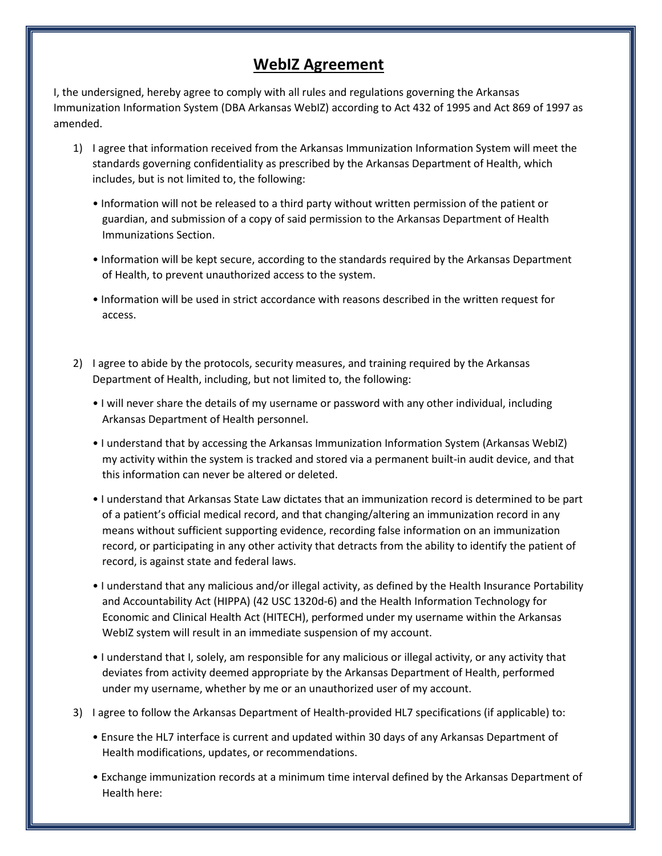## **WebIZ Agreement**

I, the undersigned, hereby agree to comply with all rules and regulations governing the Arkansas Immunization Information System (DBA Arkansas WebIZ) according to Act 432 of 1995 and Act 869 of 1997 as amended.

- 1) I agree that information received from the Arkansas Immunization Information System will meet the standards governing confidentiality as prescribed by the Arkansas Department of Health, which includes, but is not limited to, the following:
	- Information will not be released to a third party without written permission of the patient or guardian, and submission of a copy of said permission to the Arkansas Department of Health Immunizations Section.
	- Information will be kept secure, according to the standards required by the Arkansas Department of Health, to prevent unauthorized access to the system.
	- Information will be used in strict accordance with reasons described in the written request for access.
- 2) I agree to abide by the protocols, security measures, and training required by the Arkansas Department of Health, including, but not limited to, the following:
	- I will never share the details of my username or password with any other individual, including Arkansas Department of Health personnel.
	- I understand that by accessing the Arkansas Immunization Information System (Arkansas WebIZ) my activity within the system is tracked and stored via a permanent built-in audit device, and that this information can never be altered or deleted.
	- I understand that Arkansas State Law dictates that an immunization record is determined to be part of a patient's official medical record, and that changing/altering an immunization record in any means without sufficient supporting evidence, recording false information on an immunization record, or participating in any other activity that detracts from the ability to identify the patient of record, is against state and federal laws.
	- I understand that any malicious and/or illegal activity, as defined by the Health Insurance Portability and Accountability Act (HIPPA) (42 USC 1320d-6) and the Health Information Technology for Economic and Clinical Health Act (HITECH), performed under my username within the Arkansas WebIZ system will result in an immediate suspension of my account.
	- I understand that I, solely, am responsible for any malicious or illegal activity, or any activity that deviates from activity deemed appropriate by the Arkansas Department of Health, performed under my username, whether by me or an unauthorized user of my account.
- 3) I agree to follow the Arkansas Department of Health-provided HL7 specifications (if applicable) to:
	- Ensure the HL7 interface is current and updated within 30 days of any Arkansas Department of Health modifications, updates, or recommendations.
	- Exchange immunization records at a minimum time interval defined by the Arkansas Department of Health here: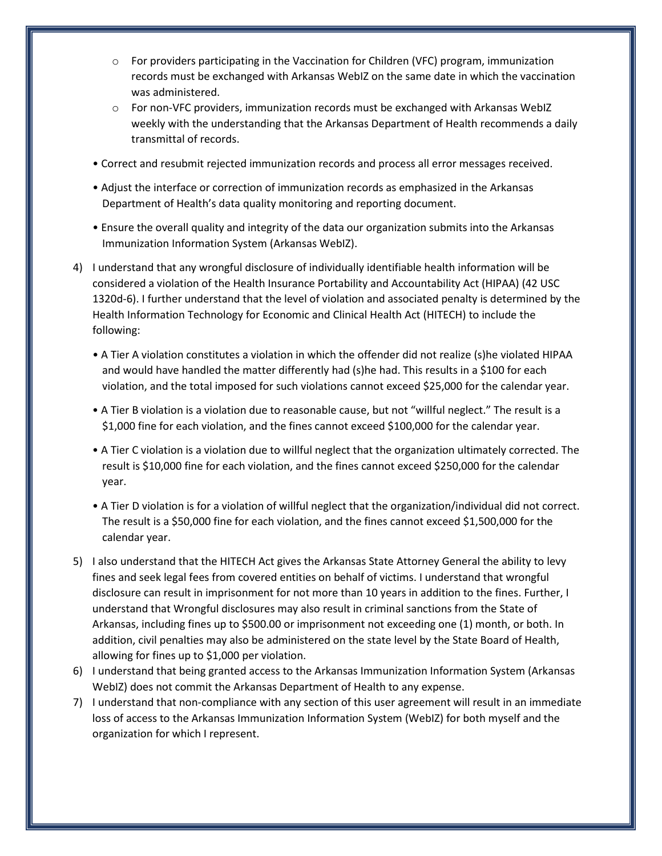- $\circ$  For providers participating in the Vaccination for Children (VFC) program, immunization records must be exchanged with Arkansas WebIZ on the same date in which the vaccination was administered.
- $\circ$  For non-VFC providers, immunization records must be exchanged with Arkansas WebIZ weekly with the understanding that the Arkansas Department of Health recommends a daily transmittal of records.
- Correct and resubmit rejected immunization records and process all error messages received.
- Adjust the interface or correction of immunization records as emphasized in the Arkansas Department of Health's data quality monitoring and reporting document.
- Ensure the overall quality and integrity of the data our organization submits into the Arkansas Immunization Information System (Arkansas WebIZ).
- 4) I understand that any wrongful disclosure of individually identifiable health information will be considered a violation of the Health Insurance Portability and Accountability Act (HIPAA) (42 USC 1320d-6). I further understand that the level of violation and associated penalty is determined by the Health Information Technology for Economic and Clinical Health Act (HITECH) to include the following:
	- A Tier A violation constitutes a violation in which the offender did not realize (s)he violated HIPAA and would have handled the matter differently had (s)he had. This results in a \$100 for each violation, and the total imposed for such violations cannot exceed \$25,000 for the calendar year.
	- A Tier B violation is a violation due to reasonable cause, but not "willful neglect." The result is a \$1,000 fine for each violation, and the fines cannot exceed \$100,000 for the calendar year.
	- A Tier C violation is a violation due to willful neglect that the organization ultimately corrected. The result is \$10,000 fine for each violation, and the fines cannot exceed \$250,000 for the calendar year.
	- A Tier D violation is for a violation of willful neglect that the organization/individual did not correct. The result is a \$50,000 fine for each violation, and the fines cannot exceed \$1,500,000 for the calendar year.
- 5) I also understand that the HITECH Act gives the Arkansas State Attorney General the ability to levy fines and seek legal fees from covered entities on behalf of victims. I understand that wrongful disclosure can result in imprisonment for not more than 10 years in addition to the fines. Further, I understand that Wrongful disclosures may also result in criminal sanctions from the State of Arkansas, including fines up to \$500.00 or imprisonment not exceeding one (1) month, or both. In addition, civil penalties may also be administered on the state level by the State Board of Health, allowing for fines up to \$1,000 per violation.
- 6) I understand that being granted access to the Arkansas Immunization Information System (Arkansas WebIZ) does not commit the Arkansas Department of Health to any expense.
- 7) I understand that non-compliance with any section of this user agreement will result in an immediate loss of access to the Arkansas Immunization Information System (WebIZ) for both myself and the organization for which I represent.